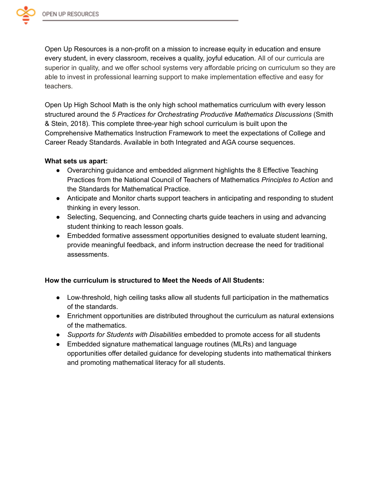

Open Up Resources is a non-profit on a mission to increase equity in education and ensure every student, in every classroom, receives a quality, joyful education. All of our curricula are superior in quality, and we offer school systems very affordable pricing on curriculum so they are able to invest in professional learning support to make implementation effective and easy for teachers.

Open Up High School Math is the only high school mathematics curriculum with every lesson structured around the *5 Practices for Orchestrating Productive Mathematics Discussions* (Smith & Stein, 2018). This complete three-year high school curriculum is built upon the Comprehensive Mathematics Instruction Framework to meet the expectations of College and Career Ready Standards. Available in both Integrated and AGA course sequences.

### **What sets us apart:**

- Overarching guidance and embedded alignment highlights the 8 Effective Teaching Practices from the National Council of Teachers of Mathematics *Principles to Action* and the Standards for Mathematical Practice.
- Anticipate and Monitor charts support teachers in anticipating and responding to student thinking in every lesson.
- Selecting, Sequencing, and Connecting charts guide teachers in using and advancing student thinking to reach lesson goals.
- Embedded formative assessment opportunities designed to evaluate student learning, provide meaningful feedback, and inform instruction decrease the need for traditional assessments.

## **How the curriculum is structured to Meet the Needs of All Students:**

- Low-threshold, high ceiling tasks allow all students full participation in the mathematics of the standards.
- Enrichment opportunities are distributed throughout the curriculum as natural extensions of the mathematics.
- *Supports for Students with Disabilities* embedded to promote access for all students
- Embedded signature mathematical language routines (MLRs) and language opportunities offer detailed guidance for developing students into mathematical thinkers and promoting mathematical literacy for all students.